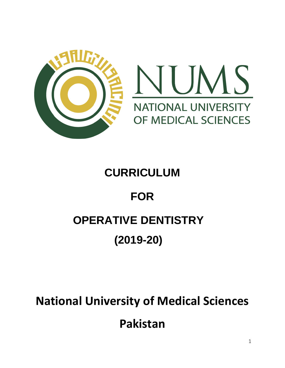

### **CURRICULUM**

# **FOR**

### **OPERATIVE DENTISTRY**

## **(2019-20)**

# **National University of Medical Sciences Pakistan**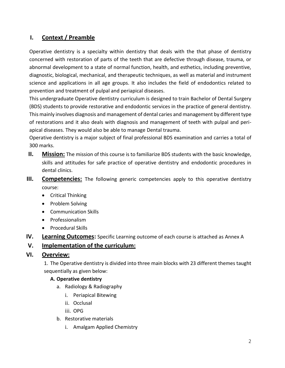#### **I. Context / Preamble**

Operative dentistry is a specialty within dentistry that deals with the that phase of dentistry concerned with restoration of parts of the teeth that are defective through disease, trauma, or abnormal development to a state of normal function, health, and esthetics, including preventive, diagnostic, biological, mechanical, and therapeutic techniques, as well as material and instrument science and applications in all age groups. It also includes the field of endodontics related to prevention and treatment of pulpal and periapical diseases.

This undergraduate Operative dentistry curriculum is designed to train Bachelor of Dental Surgery (BDS) students to provide restorative and endodontic services in the practice of general dentistry. This mainly involves diagnosis and management of dental caries and management by different type of restorations and it also deals with diagnosis and management of teeth with pulpal and periapical diseases. They would also be able to manage Dental trauma.

Operative dentistry is a major subject of final professional BDS examination and carries a total of 300 marks.

- **II. Mission:** The mission of this course is to familiarize BDS students with the basic knowledge, skills and attitudes for safe practice of operative dentistry and endodontic procedures in dental clinics.
- **III. Competencies:** The following generic competencies apply to this operative dentistry course:
	- Critical Thinking
	- Problem Solving
	- Communication Skills
	- Professionalism
	- Procedural Skills
- **IV. Learning Outcomes:** Specific Learning outcome of each course is attached as Annex A

#### **V. Implementation of the curriculum:**

#### **VI. Overview:**

1. The Operative dentistry is divided into three main blocks with 23 different themes taught sequentially as given below:

#### **A. Operative dentistry**

- a. Radiology & Radiography
	- i. Periapical Bitewing
	- ii. Occlusal
	- iii. OPG
- b. Restorative materials
	- i. Amalgam Applied Chemistry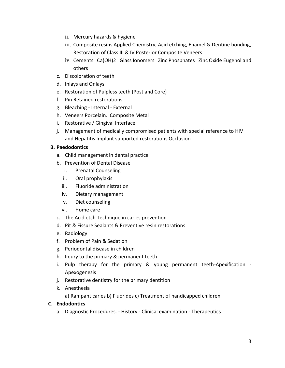- ii. Mercury hazards & hygiene
- iii. Composite resins Applied Chemistry, Acid etching, Enamel & Dentine bonding, Restoration of Class III & IV Posterior Composite Veneers
- iv. Cements Ca(OH)2 Glass Ionomers Zinc Phosphates Zinc Oxide Eugenol and others
- c. Discoloration of teeth
- d. Inlays and Onlays
- e. Restoration of Pulpless teeth (Post and Core)
- f. Pin Retained restorations
- g. Bleaching Internal External
- h. Veneers Porcelain. Composite Metal
- i. Restorative / Gingival Interface
- j. Management of medically compromised patients with special reference to HIV and Hepatitis Implant supported restorations Occlusion

#### **B. Paedodontics**

- a. Child management in dental practice
- b. Prevention of Dental Disease
	- i. Prenatal Counseling
	- ii. Oral prophylaxis
	- iii. Fluoride administration
	- iv. Dietary management
	- v. Diet counseling
	- vi. Home care
- c. The Acid etch Technique in caries prevention
- d. Pit & Fissure Sealants & Preventive resin restorations
- e. Radiology
- f. Problem of Pain & Sedation
- g. Periodontal disease in children
- h. Injury to the primary & permanent teeth
- i. Pulp therapy for the primary & young permanent teeth-Apexification Apexogenesis
- j. Restorative dentistry for the primary dentition
- k. Anesthesia
	- a) Rampant caries b) Fluorides c) Treatment of handicapped children

#### **C. Endodontics**

a. Diagnostic Procedures. - History - Clinical examination - Therapeutics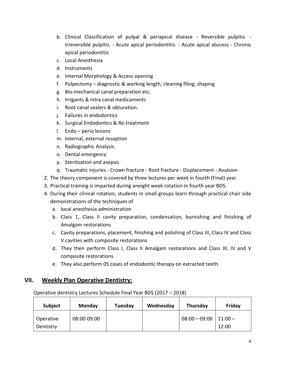- b. Clinical Classification of pulpal & periapical disease Reversible pulpitis. Irreversible pulpitis. - Acute apical periodontitis. - Acute apical abscess - Chronic apical periodontitis
- c. Local Anesthesia
- d. Instruments
- e. Internal Morphology & Access opening
- f. Pulpectomy diagnostic & working length, cleaning filing, shaping
- g. Bio-mechanical canal preparation etc.
- h. Irrigants & intra canal medicaments
- i. Root canal sealers & obturation.
- j. Failures in endodontics
- k. Surgical Endodontics & Re-treatment
- l. Endo perio lesions
- m. Internal, external resoption
- n. Radiographic Analysis.
- o. Dental emergency
- p. Sterilization and asepsis
- q. Traumatic injuries Crown fracture Root fracture Displacement Avulsion
- 2. The theory component is covered by three lectures per week in fourth (Final) year.
- 3. Practical training is imparted during aneight week rotation in fourth year BDS.
- 4. During their clinical rotation, students in small groups learn through practical chair side demonstrations of the techniques of
	- a. local anesthesia administration
	- b. Class 1, Class II cavity preparation, condensation, burnishing and finishing of Amalgam restorations
	- c. Cavity preparations, placement, finishing and polishing of Class III, Class IV and Class V cavities with composite restorations
	- d. They then perform Class I, Class II Amalgam restorations and Class III, IV and V composite restorations
	- e. They also perform 05 cases of endodontic therapy on extracted teeth.

#### **VII. Weekly Plan Operative Dentistry:**

Operative dentistry Lectures Schedule Final Year BDS (2017 – 2018)

| <b>Subject</b>         | <b>Monday</b> | Tuesday | Wednesday | Thursday                  | Friday |
|------------------------|---------------|---------|-----------|---------------------------|--------|
| Operative<br>Dentistry | 08:00-09:00   |         |           | $08:00 - 09:00$   11:00 - | 12:00  |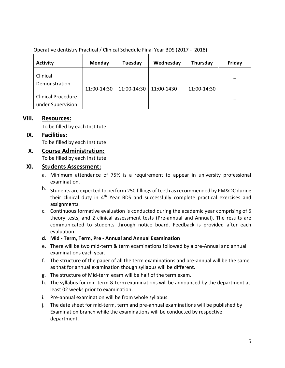Operative dentistry Practical / Clinical Schedule Final Year BDS (2017 - 2018)

| <b>Activity</b>                                | Monday      | Tuesday     | Wednesday  | Thursday    | Friday |
|------------------------------------------------|-------------|-------------|------------|-------------|--------|
| Clinical<br>Demonstration                      |             |             |            |             |        |
| <b>Clinical Procedure</b><br>under Supervision | 11:00-14:30 | 11:00-14:30 | 11:00-1430 | 11:00-14:30 |        |

#### **VIII. Resources:**

To be filled by each Institute

#### **IX. Facilities:**

To be filled by each Institute

#### **X. Course Administration:**

To be filled by each Institute

#### **XI. Students Assessment:**

- a. Minimum attendance of 75% is a requirement to appear in university professional examination.
- b. Students are expected to perform 250 fillings of teeth as recommended by PM&DC during their clinical duty in 4<sup>th</sup> Year BDS and successfully complete practical exercises and assignments.
- c. Continuous formative evaluation is conducted during the academic year comprising of 5 theory tests, and 2 clinical assessment tests (Pre-annual and Annual). The results are communicated to students through notice board. Feedback is provided after each evaluation.
- **d. Mid - Term, Term, Pre - Annual and Annual Examination**
- e. There will be two mid-term & term examinations followed by a pre-Annual and annual examinations each year.
- f. The structure of the paper of all the term examinations and pre-annual will be the same as that for annual examination though syllabus will be different.
- g. The structure of Mid-term exam will be half of the term exam.
- h. The syllabus for mid-term & term examinations will be announced by the department at least 02 weeks prior to examination.
- i. Pre-annual examination will be from whole syllabus.
- j. The date sheet for mid-term, term and pre-annual examinations will be published by Examination branch while the examinations will be conducted by respective department.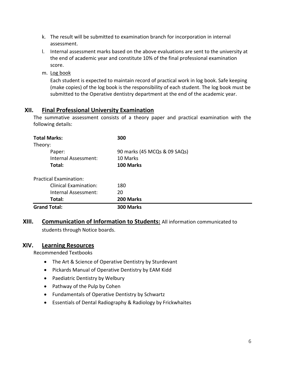- k. The result will be submitted to examination branch for incorporation in internal assessment.
- l. Internal assessment marks based on the above evaluations are sent to the university at the end of academic year and constitute 10% of the final professional examination score.
- m. Log book

Each student is expected to maintain record of practical work in log book. Safe keeping (make copies) of the log book is the responsibility of each student. The log book must be submitted to the Operative dentistry department at the end of the academic year.

#### **XII. Final Professional University Examination**

The summative assessment consists of a theory paper and practical examination with the following details:

| <b>Total Marks:</b>           | 300                          |
|-------------------------------|------------------------------|
| Theory:                       |                              |
| Paper:                        | 90 marks (45 MCQs & 09 SAQs) |
| Internal Assessment:          | 10 Marks                     |
| Total:                        | 100 Marks                    |
| <b>Practical Examination:</b> |                              |
| <b>Clinical Examination:</b>  | 180                          |
| Internal Assessment:          | 20                           |
| Total:                        | 200 Marks                    |
| <b>Grand Total:</b>           | 300 Marks                    |

**XIII. Communication of Information to Students:** All information communicated to students through Notice boards.

#### **XIV. Learning Resources**

Recommended Textbooks

- The Art & Science of Operative Dentistry by Sturdevant
- Pickards Manual of Operative Dentistry by EAM Kidd
- Paediatric Dentistry by Welbury
- Pathway of the Pulp by Cohen
- Fundamentals of Operative Dentistry by Schwartz
- Essentials of Dental Radiography & Radiology by Frickwhaites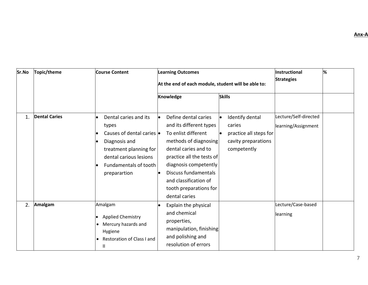**Sr.No Topic/theme Course Content Learning Outcomes At the end of each module, student will be able to: Instructional Strategies % Knowledge Skills** 1. **Dental Caries Dental caries and its** types Causes of dental caries Diagnosis and treatment planning for dental carious lesions Fundamentals of tooth preparartion  $\bullet$  Define dental caries and its different types To enlist different methods of diagnosing dental caries and to practice all the tests of diagnosis competently  $\bullet$  Discuss fundamentals and classification of tooth preparations for dental caries Identify dental caries practice all steps for cavity preparations competently Lecture/Self-directed learning/Assignment 2. **Amalgam Amalgam**  Applied Chemistry Mercury hazards and Hygiene Restoration of Class I and II Explain the physical and chemical properties, manipulation, finishing and polishing and resolution of errors Lecture/Case-based learning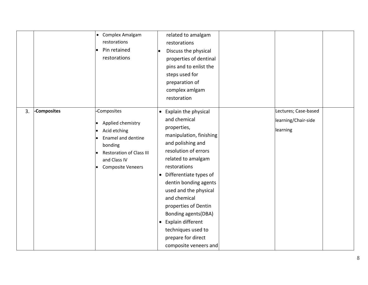|    |             | Complex Amalgam<br>$\bullet$<br>restorations<br>Pin retained<br>restorations                                                                                     | related to amalgam<br>restorations<br>Discuss the physical<br>properties of dentinal<br>pins and to enlist the<br>steps used for<br>preparation of<br>complex amlgam<br>restoration                                                                                                                                                                                                                           |                                                         |  |
|----|-------------|------------------------------------------------------------------------------------------------------------------------------------------------------------------|---------------------------------------------------------------------------------------------------------------------------------------------------------------------------------------------------------------------------------------------------------------------------------------------------------------------------------------------------------------------------------------------------------------|---------------------------------------------------------|--|
| 3. | -Composites | -Composites<br>Applied chemistry<br>Acid etching<br>Enamel and dentine<br>bonding<br><b>Restoration of Class III</b><br>and Class IV<br><b>Composite Veneers</b> | • Explain the physical<br>and chemical<br>properties,<br>manipulation, finishing<br>and polishing and<br>resolution of errors<br>related to amalgam<br>restorations<br>• Differentiate types of<br>dentin bonding agents<br>used and the physical<br>and chemical<br>properties of Dentin<br>Bonding agents (DBA)<br>• Explain different<br>techniques used to<br>prepare for direct<br>composite veneers and | Lectures; Case-based<br>learning/Chair-side<br>learning |  |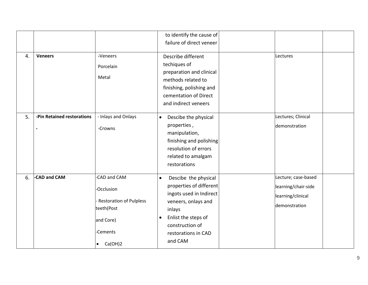|    |                            |                                                                                                                | to identify the cause of<br>failure of direct veneer                                                                                                                                                              |                                                                                  |  |
|----|----------------------------|----------------------------------------------------------------------------------------------------------------|-------------------------------------------------------------------------------------------------------------------------------------------------------------------------------------------------------------------|----------------------------------------------------------------------------------|--|
| 4. | <b>Veneers</b>             | -Veneers<br>Porcelain<br>Metal                                                                                 | Describe different<br>techiques of<br>preparation and clinical<br>methods related to<br>finishing, polishing and<br>cementation of Direct<br>and indirect veneers                                                 | Lectures                                                                         |  |
| 5. | -Pin Retained restorations | - Inlays and Onlays<br>-Crowns                                                                                 | Descibe the physical<br>$\bullet$<br>properties,<br>manipulation,<br>finishing and polishing<br>resolution of errors<br>related to amalgam<br>restorations                                                        | Lectures; Clinical<br>demonstration                                              |  |
| 6. | -CAD and CAM               | -CAD and CAM<br>-Occlusion<br><b>Restoration of Pulpless</b><br>teeth(Post<br>and Core)<br>-Cements<br>Ca(OH)2 | $\bullet$<br>Descibe the physical<br>properties of different<br>ingots used in Indirect<br>veneers, onlays and<br>inlays<br>Enlist the steps of<br>$\bullet$<br>construction of<br>restorations in CAD<br>and CAM | Lecture; case-based<br>learning/chair-side<br>learning/clinical<br>demonstration |  |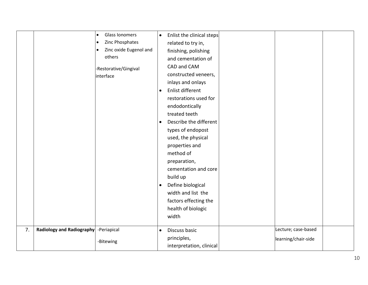|    |                                       | Glass Ionomers<br>$\bullet$  | $\bullet$ | Enlist the clinical steps |                     |  |
|----|---------------------------------------|------------------------------|-----------|---------------------------|---------------------|--|
|    |                                       | Zinc Phosphates<br>$\bullet$ |           | related to try in,        |                     |  |
|    |                                       | Zinc oxide Eugenol and       |           | finishing, polishing      |                     |  |
|    |                                       | others                       |           | and cementation of        |                     |  |
|    |                                       | -Restorative/Gingival        |           | CAD and CAM               |                     |  |
|    |                                       | interface                    |           | constructed veneers,      |                     |  |
|    |                                       |                              |           | inlays and onlays         |                     |  |
|    |                                       |                              | $\bullet$ | Enlist different          |                     |  |
|    |                                       |                              |           | restorations used for     |                     |  |
|    |                                       |                              |           | endodontically            |                     |  |
|    |                                       |                              |           | treated teeth             |                     |  |
|    |                                       |                              | $\bullet$ | Describe the different    |                     |  |
|    |                                       |                              |           | types of endopost         |                     |  |
|    |                                       |                              |           | used, the physical        |                     |  |
|    |                                       |                              |           | properties and            |                     |  |
|    |                                       |                              |           | method of                 |                     |  |
|    |                                       |                              |           | preparation,              |                     |  |
|    |                                       |                              |           | cementation and core      |                     |  |
|    |                                       |                              |           | build up                  |                     |  |
|    |                                       |                              | $\bullet$ | Define biological         |                     |  |
|    |                                       |                              |           | width and list the        |                     |  |
|    |                                       |                              |           | factors effecting the     |                     |  |
|    |                                       |                              |           | health of biologic        |                     |  |
|    |                                       |                              |           | width                     |                     |  |
|    |                                       |                              |           |                           |                     |  |
| 7. | Radiology and Radiography -Periapical |                              | $\bullet$ | Discuss basic             | Lecture; case-based |  |
|    |                                       | -Bitewing                    |           | principles,               | learning/chair-side |  |
|    |                                       |                              |           | interpretation, clinical  |                     |  |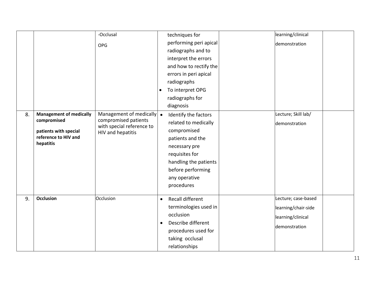|    |                                                                                                        | -Occlusal                         |           | techniques for         | learning/clinical   |  |
|----|--------------------------------------------------------------------------------------------------------|-----------------------------------|-----------|------------------------|---------------------|--|
|    |                                                                                                        | <b>OPG</b>                        |           | performing peri apical | demonstration       |  |
|    |                                                                                                        |                                   |           | radiographs and to     |                     |  |
|    |                                                                                                        |                                   |           | interpret the errors   |                     |  |
|    |                                                                                                        |                                   |           | and how to rectify the |                     |  |
|    |                                                                                                        |                                   |           | errors in peri apical  |                     |  |
|    |                                                                                                        |                                   |           | radiographs            |                     |  |
|    |                                                                                                        |                                   | $\bullet$ | To interpret OPG       |                     |  |
|    |                                                                                                        |                                   |           | radiographs for        |                     |  |
|    |                                                                                                        |                                   |           | diagnosis              |                     |  |
| 8. | <b>Management of medically</b>                                                                         | Management of medically $\bullet$ |           | Identify the factors   | Lecture; Skill lab/ |  |
|    | compromised                                                                                            | compromised patients              |           | related to medically   | demonstration       |  |
|    | with special reference to<br>patients with special<br><b>HIV and hepatitis</b><br>reference to HIV and |                                   |           | compromised            |                     |  |
|    |                                                                                                        |                                   |           | patients and the       |                     |  |
|    | hepatitis                                                                                              |                                   |           | necessary pre          |                     |  |
|    |                                                                                                        |                                   |           | requisites for         |                     |  |
|    |                                                                                                        |                                   |           | handling the patients  |                     |  |
|    |                                                                                                        |                                   |           | before performing      |                     |  |
|    |                                                                                                        |                                   |           | any operative          |                     |  |
|    |                                                                                                        |                                   |           | procedures             |                     |  |
|    |                                                                                                        |                                   |           |                        |                     |  |
| 9. | <b>Occlusion</b>                                                                                       | Occlusion                         | $\bullet$ | Recall different       | Lecture; case-based |  |
|    |                                                                                                        |                                   |           | terminologies used in  | learning/chair-side |  |
|    |                                                                                                        |                                   |           | occlusion              | learning/clinical   |  |
|    |                                                                                                        |                                   | $\bullet$ | Describe different     | demonstration       |  |
|    |                                                                                                        |                                   |           | procedures used for    |                     |  |
|    |                                                                                                        |                                   |           | taking occlusal        |                     |  |
|    |                                                                                                        |                                   |           | relationships          |                     |  |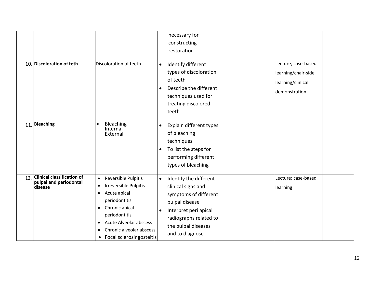|                                                                     |                                                                                                                                                                                                                                                                                                      | necessary for<br>constructing<br>restoration                                                                                                                                                                   |                                                                                  |
|---------------------------------------------------------------------|------------------------------------------------------------------------------------------------------------------------------------------------------------------------------------------------------------------------------------------------------------------------------------------------------|----------------------------------------------------------------------------------------------------------------------------------------------------------------------------------------------------------------|----------------------------------------------------------------------------------|
| 10. Discoloration of teth                                           | Discoloration of teeth                                                                                                                                                                                                                                                                               | Identify different<br>$\bullet$<br>types of discoloration<br>of teeth<br>Describe the different<br>$\bullet$<br>techniques used for<br>treating discolored<br>teeth                                            | Lecture; case-based<br>learning/chair-side<br>learning/clinical<br>demonstration |
| 11. Bleaching                                                       | Bleaching<br>$\bullet$<br>Internal<br>External                                                                                                                                                                                                                                                       | Explain different types<br>$\bullet$<br>of bleaching<br>techniques<br>To list the steps for<br>performing different<br>types of bleaching                                                                      |                                                                                  |
| 12. Clinical classification of<br>pulpal and periodontal<br>disease | Reversible Pulpitis<br>$\bullet$<br>Irreversible Pulpitis<br>$\bullet$<br>Acute apical<br>$\bullet$<br>periodontitis<br>Chronic apical<br>$\bullet$<br>periodontitis<br><b>Acute Alveolar abscess</b><br>$\bullet$<br>Chronic alveolar abscess<br>$\bullet$<br>Focal sclerosingosteitis<br>$\bullet$ | Identify the different<br>$\bullet$<br>clinical signs and<br>symptoms of different<br>pulpal disease<br>Interpret peri apical<br>$\bullet$<br>radiographs related to<br>the pulpal diseases<br>and to diagnose | Lecture; case-based<br>learning                                                  |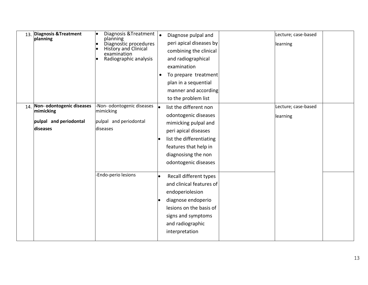| 13. Diagnosis & Treatment<br>planning                                           | Diagnosis & Treatment  .<br>planning<br>Diagnostic procedures<br>History and Clinical<br>examination<br>Radiographic analysis | Diagnose pulpal and<br>peri apical diseases by<br>combining the clinical<br>and radiographical<br>examination<br>To prepare treatment<br>plan in a sequential<br>manner and according<br>to the problem list | Lecture; case-based<br>learning |
|---------------------------------------------------------------------------------|-------------------------------------------------------------------------------------------------------------------------------|--------------------------------------------------------------------------------------------------------------------------------------------------------------------------------------------------------------|---------------------------------|
| 14. Non-odontogenic diseases<br>mimicking<br>pulpal and periodontal<br>diseases | -Non- odontogenic diseases<br>mimicking<br>pulpal and periodontal<br>diseases                                                 | list the different non<br>odontogenic diseases<br>mimicking pulpal and<br>peri apical diseases<br>list the differentiating<br>features that help in<br>diagnosisng the non<br>odontogenic diseases           | Lecture; case-based<br>learning |
|                                                                                 | -Endo-perio lesions                                                                                                           | Recall different types<br>and clinical features of<br>endoperiolesion<br>diagnose endoperio<br>lesions on the basis of<br>signs and symptoms<br>and radiographic<br>interpretation                           |                                 |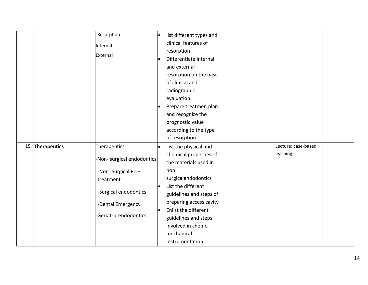|                  | -Resorption                | list different types and |                     |  |
|------------------|----------------------------|--------------------------|---------------------|--|
|                  | Internal                   | clinical features of     |                     |  |
|                  | External                   | resorption               |                     |  |
|                  |                            | Differentiate internal   |                     |  |
|                  |                            | and external             |                     |  |
|                  |                            | resorption on the basis  |                     |  |
|                  |                            | of clinical and          |                     |  |
|                  |                            | radiographic             |                     |  |
|                  |                            | evaluation               |                     |  |
|                  |                            | Prepare treatmen plan    |                     |  |
|                  |                            | and recognize the        |                     |  |
|                  |                            | prognostic value         |                     |  |
|                  |                            | according to the type    |                     |  |
|                  |                            | of resorption            |                     |  |
| 15. Therapeutics | Therapeutics               | List the physical and    | Lecture; case-based |  |
|                  |                            | chemical properties of   | learning            |  |
|                  | -Non- surgical endodontics | the materials used in    |                     |  |
|                  | -Non-Surgical Re-          | non                      |                     |  |
|                  | treatment                  | surgicalendodontics      |                     |  |
|                  |                            | List the different       |                     |  |
|                  | -Surgical endodontics      | guidelines and steps of  |                     |  |
|                  | -Dental Emergency          | preparing access cavity  |                     |  |
|                  |                            | Enlist the different     |                     |  |
|                  | -Geriatric endodontics     | guidelines and steps     |                     |  |
|                  |                            | involved in chemo        |                     |  |
|                  |                            | mechanical               |                     |  |
|                  |                            | instrumentation          |                     |  |
|                  |                            |                          |                     |  |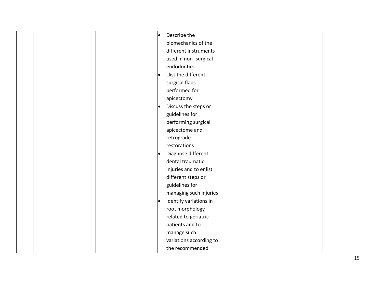|  | $\bullet$ | Describe the            |  |  |
|--|-----------|-------------------------|--|--|
|  |           | biomechanics of the     |  |  |
|  |           | different instruments   |  |  |
|  |           | used in non-surgical    |  |  |
|  |           | endodontics             |  |  |
|  | $\bullet$ | Llist the different     |  |  |
|  |           | surgical flaps          |  |  |
|  |           | performed for           |  |  |
|  |           | apicectomy              |  |  |
|  |           | Discuss the steps or    |  |  |
|  |           | guidelines for          |  |  |
|  |           | performing surgical     |  |  |
|  |           | apicectome and          |  |  |
|  |           | retrograde              |  |  |
|  |           | restorations            |  |  |
|  | $\bullet$ | Diagnose different      |  |  |
|  |           | dental traumatic        |  |  |
|  |           | injuries and to enlist  |  |  |
|  |           | different steps or      |  |  |
|  |           | guidelines for          |  |  |
|  |           | managing such injuries  |  |  |
|  | $\bullet$ | Identify variations in  |  |  |
|  |           | root morphology         |  |  |
|  |           | related to geriatric    |  |  |
|  |           | patients and to         |  |  |
|  |           | manage such             |  |  |
|  |           | variations according to |  |  |
|  |           | the recommended         |  |  |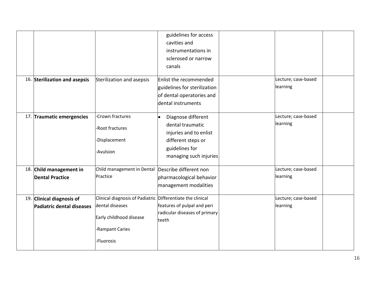|                               |                                                            | guidelines for access         |                     |  |
|-------------------------------|------------------------------------------------------------|-------------------------------|---------------------|--|
|                               |                                                            | cavities and                  |                     |  |
|                               |                                                            | instrumentations in           |                     |  |
|                               |                                                            | sclerosed or narrow           |                     |  |
|                               |                                                            | canals                        |                     |  |
|                               |                                                            |                               |                     |  |
| 16. Sterilization and asepsis | Sterilization and asepsis                                  | Enlist the recommended        | Lecture; case-based |  |
|                               |                                                            | guidelines for sterilization  | learning            |  |
|                               |                                                            | of dental operatories and     |                     |  |
|                               |                                                            | dental instruments            |                     |  |
|                               | -Crown fractures                                           |                               | Lecture; case-based |  |
| 17. Traumatic emergencies     |                                                            | Diagnose different            | learning            |  |
|                               | -Root fractures                                            | dental traumatic              |                     |  |
|                               |                                                            | injuries and to enlist        |                     |  |
|                               | -Displacement                                              | different steps or            |                     |  |
|                               | -Avulsion                                                  | guidelines for                |                     |  |
|                               |                                                            | managing such injuries        |                     |  |
| 18. Child management in       | Child management in Dental                                 | Describe different non        | Lecture; case-based |  |
| <b>Dental Practice</b>        | Practice                                                   | pharmacological behavior      | learning            |  |
|                               |                                                            | management modalities         |                     |  |
|                               |                                                            |                               |                     |  |
| 19. Clinical diagnosis of     | Clinical diagnosis of Padiatric Differentiate the clinical |                               | Lecture; case-based |  |
| Padiatric dental diseases     | dental diseases                                            | features of pulpal and peri   | learning            |  |
|                               | Early childhood disease                                    | radicular diseases of primary |                     |  |
|                               |                                                            | teeth                         |                     |  |
|                               | -Rampant Caries                                            |                               |                     |  |
|                               | -Fluorosis                                                 |                               |                     |  |
|                               |                                                            |                               |                     |  |
|                               |                                                            |                               |                     |  |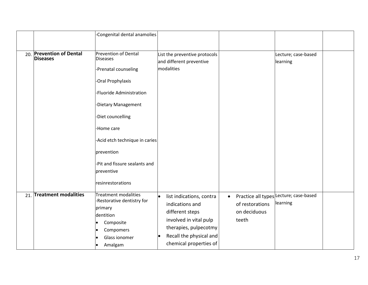|                                             | -Congenital dental anamolies                                                                                                                                                                                                                                                                        |                                                                                                                                                                                     |                                                       |                                                    |  |
|---------------------------------------------|-----------------------------------------------------------------------------------------------------------------------------------------------------------------------------------------------------------------------------------------------------------------------------------------------------|-------------------------------------------------------------------------------------------------------------------------------------------------------------------------------------|-------------------------------------------------------|----------------------------------------------------|--|
| 20. Prevention of Dental<br><b>Diseases</b> | <b>Prevention of Dental</b><br><b>Diseases</b><br>Prenatal counseling<br>Oral Prophylaxis<br>-Fluoride Administration<br>-Dietary Management<br>-Diet councelling<br>-Home care<br>-Acid etch technique in caries<br>prevention<br>-Pit and fissure sealants and<br>preventive<br>resinrestorations | List the preventive protocols<br>and different preventive<br>modalities                                                                                                             |                                                       | Lecture; case-based<br>learning                    |  |
| 21. Treatment modalities                    | <b>Treatment modalities</b><br>-Restorative dentistry for<br>primary<br>dentition<br>Composite<br>Compomers<br>Glass ionomer<br>Amalgam                                                                                                                                                             | list indications, contra<br>$\bullet$<br>indications and<br>different steps<br>involved in vital pulp<br>therapies, pulpecotmy<br>Recall the physical and<br>chemical properties of | $\bullet$<br>of restorations<br>on deciduous<br>teeth | Practice all types Lecture; case-based<br>learning |  |